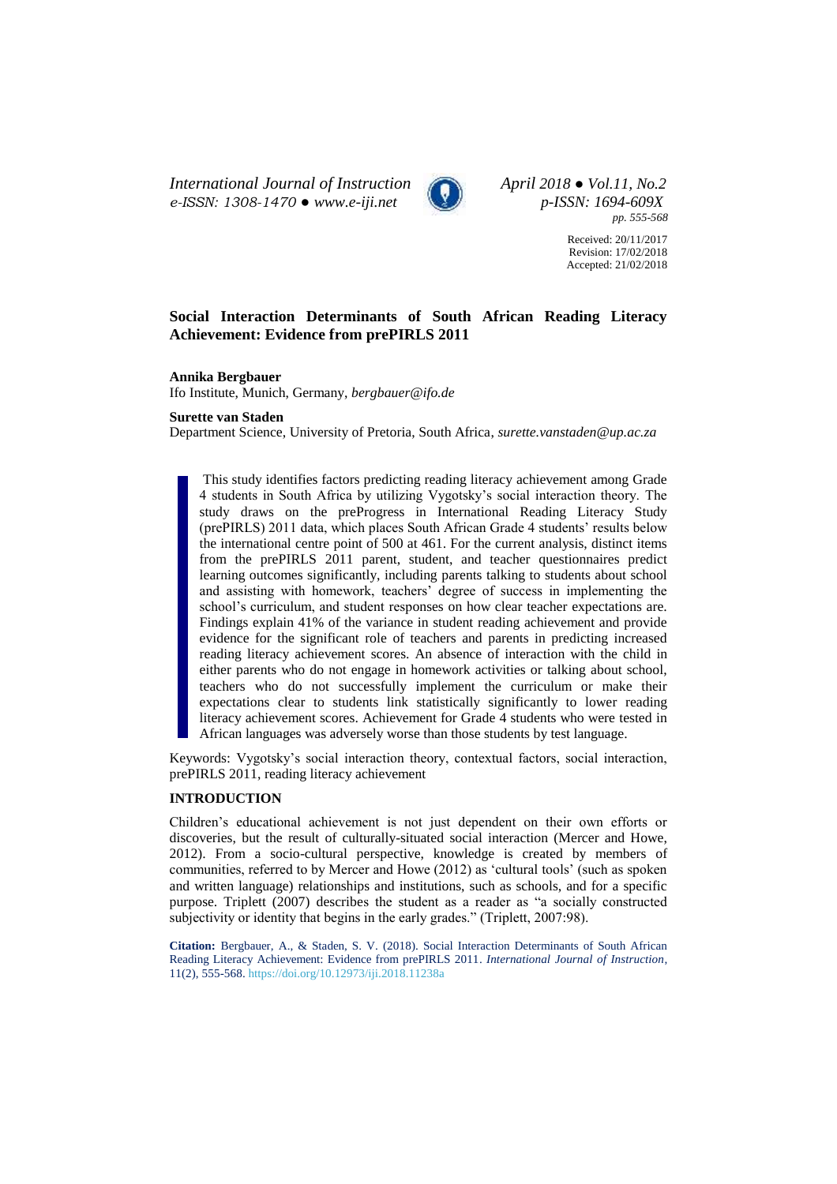*International Journal of Instruction April 2018 ● Vol.11, No.2 e-ISSN: 1308-1470 ● [www.e-iji.net](http://www.e-iji.net/) p-ISSN: 1694-609X*



*pp. 555-568*

Received: 20/11/2017 Revision: 17/02/2018 Accepted: 21/02/2018

# **Social Interaction Determinants of South African Reading Literacy Achievement: Evidence from prePIRLS 2011**

### **Annika Bergbauer**

Ifo Institute, Munich, Germany, *bergbauer@ifo.de*

#### **Surette van Staden**

Department Science, University of Pretoria, South Africa, *surette.vanstaden@up.ac.za*

This study identifies factors predicting reading literacy achievement among Grade 4 students in South Africa by utilizing Vygotsky's social interaction theory. The study draws on the preProgress in International Reading Literacy Study (prePIRLS) 2011 data, which places South African Grade 4 students' results below the international centre point of 500 at 461. For the current analysis, distinct items from the prePIRLS 2011 parent, student, and teacher questionnaires predict learning outcomes significantly, including parents talking to students about school and assisting with homework, teachers' degree of success in implementing the school's curriculum, and student responses on how clear teacher expectations are. Findings explain 41% of the variance in student reading achievement and provide evidence for the significant role of teachers and parents in predicting increased reading literacy achievement scores. An absence of interaction with the child in either parents who do not engage in homework activities or talking about school, teachers who do not successfully implement the curriculum or make their expectations clear to students link statistically significantly to lower reading literacy achievement scores. Achievement for Grade 4 students who were tested in African languages was adversely worse than those students by test language.

Keywords: Vygotsky's social interaction theory, contextual factors, social interaction, prePIRLS 2011, reading literacy achievement

### **INTRODUCTION**

Children's educational achievement is not just dependent on their own efforts or discoveries, but the result of culturally-situated social interaction (Mercer and Howe, 2012). From a socio-cultural perspective, knowledge is created by members of communities, referred to by Mercer and Howe (2012) as 'cultural tools' (such as spoken and written language) relationships and institutions, such as schools, and for a specific purpose. Triplett (2007) describes the student as a reader as "a socially constructed subjectivity or identity that begins in the early grades." (Triplett, 2007:98).

**Citation:** Bergbauer, A., & Staden, S. V. (2018). Social Interaction Determinants of South African Reading Literacy Achievement: Evidence from prePIRLS 2011. *International Journal of Instruction*, 11(2), 555-568. <https://doi.org/10.12973/iji.2018.11238a>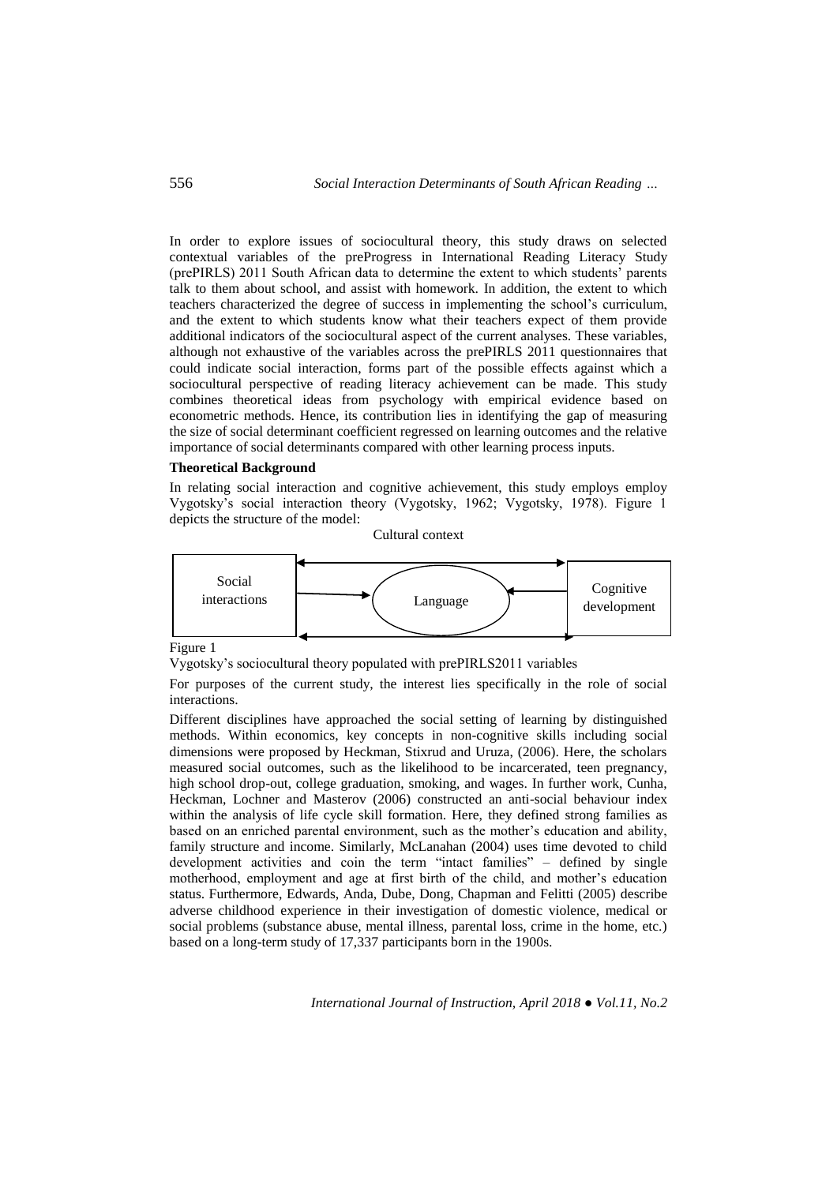In order to explore issues of sociocultural theory, this study draws on selected contextual variables of the preProgress in International Reading Literacy Study (prePIRLS) 2011 South African data to determine the extent to which students' parents talk to them about school, and assist with homework. In addition, the extent to which teachers characterized the degree of success in implementing the school's curriculum, and the extent to which students know what their teachers expect of them provide additional indicators of the sociocultural aspect of the current analyses. These variables, although not exhaustive of the variables across the prePIRLS 2011 questionnaires that could indicate social interaction, forms part of the possible effects against which a sociocultural perspective of reading literacy achievement can be made. This study combines theoretical ideas from psychology with empirical evidence based on econometric methods. Hence, its contribution lies in identifying the gap of measuring the size of social determinant coefficient regressed on learning outcomes and the relative importance of social determinants compared with other learning process inputs.

# **Theoretical Background**

In relating social interaction and cognitive achievement, this study employs employ Vygotsky's social interaction theory (Vygotsky, 1962; Vygotsky, 1978). Figure 1 depicts the structure of the model:

Cultural context



Figure 1

Vygotsky's sociocultural theory populated with prePIRLS2011 variables

For purposes of the current study, the interest lies specifically in the role of social interactions.

Different disciplines have approached the social setting of learning by distinguished methods. Within economics, key concepts in non-cognitive skills including social dimensions were proposed by Heckman, Stixrud and Uruza, (2006). Here, the scholars measured social outcomes, such as the likelihood to be incarcerated, teen pregnancy, high school drop-out, college graduation, smoking, and wages. In further work, Cunha, Heckman, Lochner and Masterov (2006) constructed an anti-social behaviour index within the analysis of life cycle skill formation. Here, they defined strong families as based on an enriched parental environment, such as the mother's education and ability, family structure and income. Similarly, McLanahan (2004) uses time devoted to child development activities and coin the term "intact families" – defined by single motherhood, employment and age at first birth of the child, and mother's education status. Furthermore, Edwards, Anda, Dube, Dong, Chapman and Felitti (2005) describe adverse childhood experience in their investigation of domestic violence, medical or social problems (substance abuse, mental illness, parental loss, crime in the home, etc.) based on a long-term study of 17,337 participants born in the 1900s.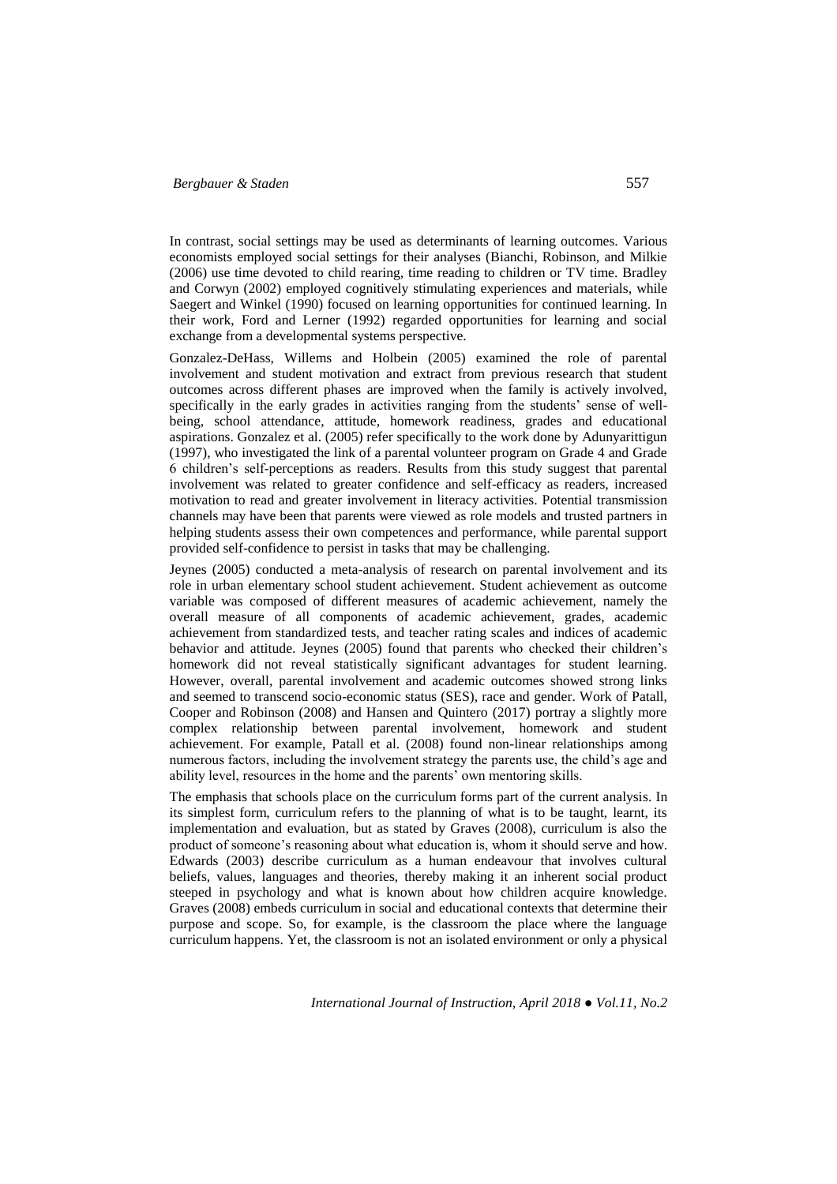In contrast, social settings may be used as determinants of learning outcomes. Various economists employed social settings for their analyses (Bianchi, Robinson, and Milkie (2006) use time devoted to child rearing, time reading to children or TV time. Bradley and Corwyn (2002) employed cognitively stimulating experiences and materials, while Saegert and Winkel (1990) focused on learning opportunities for continued learning. In their work, Ford and Lerner (1992) regarded opportunities for learning and social exchange from a developmental systems perspective.

Gonzalez-DeHass, Willems and Holbein (2005) examined the role of parental involvement and student motivation and extract from previous research that student outcomes across different phases are improved when the family is actively involved, specifically in the early grades in activities ranging from the students' sense of wellbeing, school attendance, attitude, homework readiness, grades and educational aspirations. Gonzalez et al. (2005) refer specifically to the work done by Adunyarittigun (1997), who investigated the link of a parental volunteer program on Grade 4 and Grade 6 children's self-perceptions as readers. Results from this study suggest that parental involvement was related to greater confidence and self-efficacy as readers, increased motivation to read and greater involvement in literacy activities. Potential transmission channels may have been that parents were viewed as role models and trusted partners in helping students assess their own competences and performance, while parental support provided self-confidence to persist in tasks that may be challenging.

Jeynes (2005) conducted a meta-analysis of research on parental involvement and its role in urban elementary school student achievement. Student achievement as outcome variable was composed of different measures of academic achievement, namely the overall measure of all components of academic achievement, grades, academic achievement from standardized tests, and teacher rating scales and indices of academic behavior and attitude. Jeynes (2005) found that parents who checked their children's homework did not reveal statistically significant advantages for student learning. However, overall, parental involvement and academic outcomes showed strong links and seemed to transcend socio-economic status (SES), race and gender. Work of Patall, Cooper and Robinson (2008) and Hansen and Quintero (2017) portray a slightly more complex relationship between parental involvement, homework and student achievement. For example, Patall et al. (2008) found non-linear relationships among numerous factors, including the involvement strategy the parents use, the child's age and ability level, resources in the home and the parents' own mentoring skills.

The emphasis that schools place on the curriculum forms part of the current analysis. In its simplest form, curriculum refers to the planning of what is to be taught, learnt, its implementation and evaluation, but as stated by Graves (2008), curriculum is also the product of someone's reasoning about what education is, whom it should serve and how. Edwards (2003) describe curriculum as a human endeavour that involves cultural beliefs, values, languages and theories, thereby making it an inherent social product steeped in psychology and what is known about how children acquire knowledge. Graves (2008) embeds curriculum in social and educational contexts that determine their purpose and scope. So, for example, is the classroom the place where the language curriculum happens. Yet, the classroom is not an isolated environment or only a physical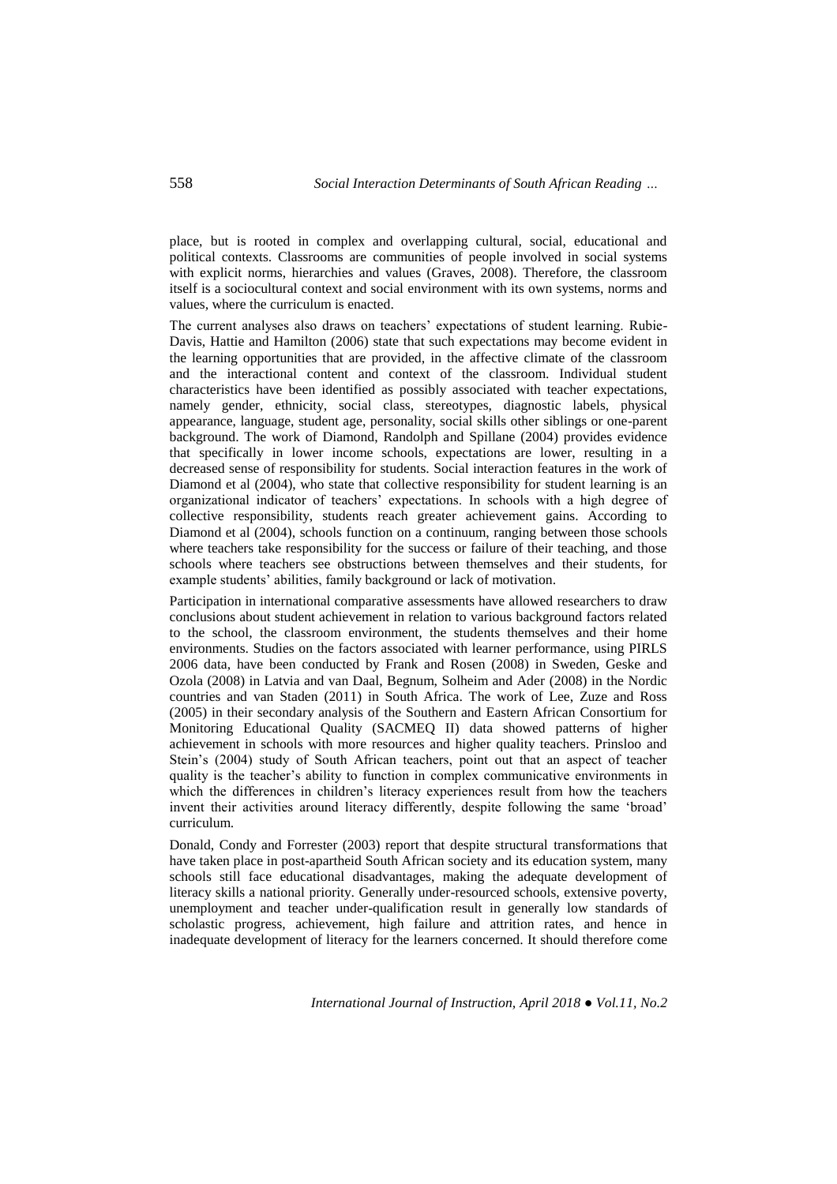place, but is rooted in complex and overlapping cultural, social, educational and political contexts. Classrooms are communities of people involved in social systems with explicit norms, hierarchies and values (Graves, 2008). Therefore, the classroom itself is a sociocultural context and social environment with its own systems, norms and values, where the curriculum is enacted.

The current analyses also draws on teachers' expectations of student learning. Rubie-Davis, Hattie and Hamilton (2006) state that such expectations may become evident in the learning opportunities that are provided, in the affective climate of the classroom and the interactional content and context of the classroom. Individual student characteristics have been identified as possibly associated with teacher expectations, namely gender, ethnicity, social class, stereotypes, diagnostic labels, physical appearance, language, student age, personality, social skills other siblings or one-parent background. The work of Diamond, Randolph and Spillane (2004) provides evidence that specifically in lower income schools, expectations are lower, resulting in a decreased sense of responsibility for students. Social interaction features in the work of Diamond et al (2004), who state that collective responsibility for student learning is an organizational indicator of teachers' expectations. In schools with a high degree of collective responsibility, students reach greater achievement gains. According to Diamond et al (2004), schools function on a continuum, ranging between those schools where teachers take responsibility for the success or failure of their teaching, and those schools where teachers see obstructions between themselves and their students, for example students' abilities, family background or lack of motivation.

Participation in international comparative assessments have allowed researchers to draw conclusions about student achievement in relation to various background factors related to the school, the classroom environment, the students themselves and their home environments. Studies on the factors associated with learner performance, using PIRLS 2006 data, have been conducted by Frank and Rosen (2008) in Sweden, Geske and Ozola (2008) in Latvia and van Daal, Begnum, Solheim and Ader (2008) in the Nordic countries and van Staden (2011) in South Africa. The work of Lee, Zuze and Ross (2005) in their secondary analysis of the Southern and Eastern African Consortium for Monitoring Educational Quality (SACMEQ II) data showed patterns of higher achievement in schools with more resources and higher quality teachers. Prinsloo and Stein's (2004) study of South African teachers, point out that an aspect of teacher quality is the teacher's ability to function in complex communicative environments in which the differences in children's literacy experiences result from how the teachers invent their activities around literacy differently, despite following the same 'broad' curriculum.

Donald, Condy and Forrester (2003) report that despite structural transformations that have taken place in post-apartheid South African society and its education system, many schools still face educational disadvantages, making the adequate development of literacy skills a national priority. Generally under-resourced schools, extensive poverty, unemployment and teacher under-qualification result in generally low standards of scholastic progress, achievement, high failure and attrition rates, and hence in inadequate development of literacy for the learners concerned. It should therefore come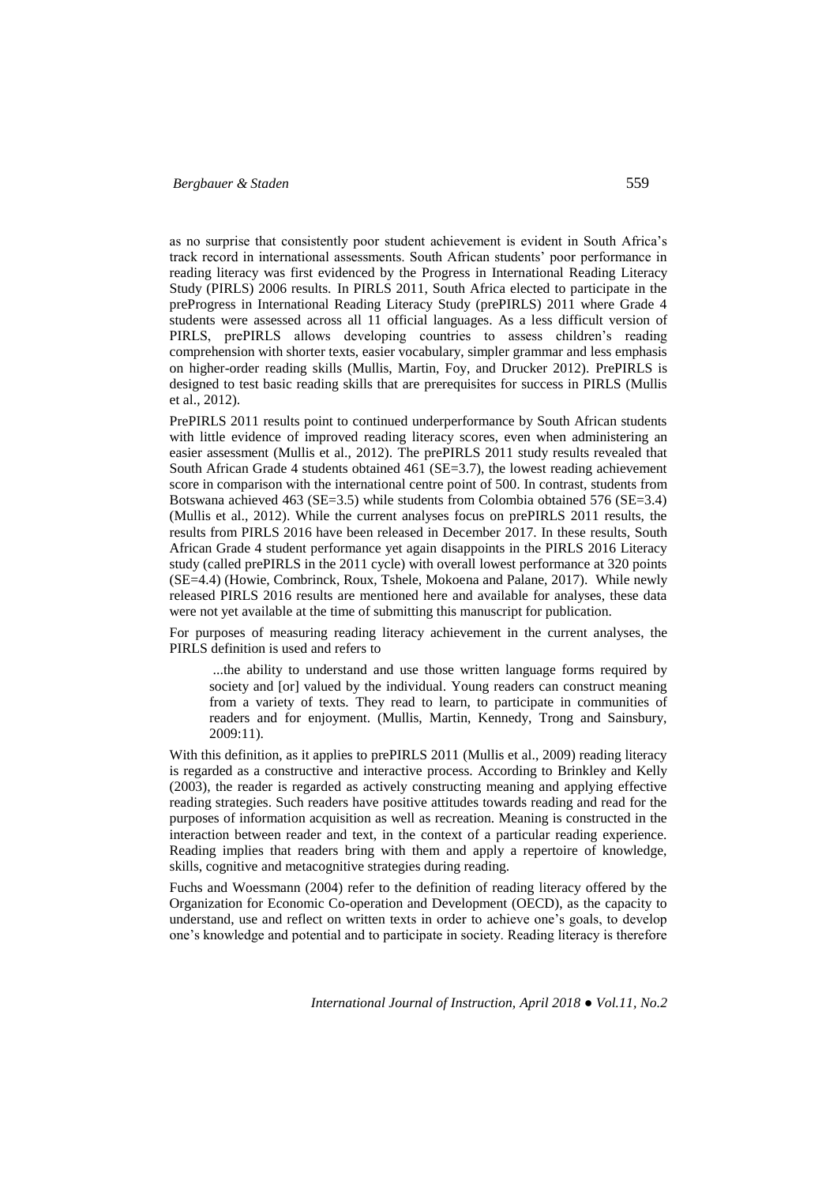as no surprise that consistently poor student achievement is evident in South Africa's track record in international assessments. South African students' poor performance in reading literacy was first evidenced by the Progress in International Reading Literacy Study (PIRLS) 2006 results. In PIRLS 2011, South Africa elected to participate in the preProgress in International Reading Literacy Study (prePIRLS) 2011 where Grade 4 students were assessed across all 11 official languages. As a less difficult version of PIRLS, prePIRLS allows developing countries to assess children's reading comprehension with shorter texts, easier vocabulary, simpler grammar and less emphasis on higher-order reading skills (Mullis, Martin, Foy, and Drucker 2012). PrePIRLS is designed to test basic reading skills that are prerequisites for success in PIRLS (Mullis et al., 2012).

PrePIRLS 2011 results point to continued underperformance by South African students with little evidence of improved reading literacy scores, even when administering an easier assessment (Mullis et al., 2012). The prePIRLS 2011 study results revealed that South African Grade 4 students obtained 461 (SE=3.7), the lowest reading achievement score in comparison with the international centre point of 500. In contrast, students from Botswana achieved 463 (SE=3.5) while students from Colombia obtained 576 (SE=3.4) (Mullis et al., 2012). While the current analyses focus on prePIRLS 2011 results, the results from PIRLS 2016 have been released in December 2017. In these results, South African Grade 4 student performance yet again disappoints in the PIRLS 2016 Literacy study (called prePIRLS in the 2011 cycle) with overall lowest performance at 320 points (SE=4.4) (Howie, Combrinck, Roux, Tshele, Mokoena and Palane, 2017). While newly released PIRLS 2016 results are mentioned here and available for analyses, these data were not yet available at the time of submitting this manuscript for publication.

For purposes of measuring reading literacy achievement in the current analyses, the PIRLS definition is used and refers to

...the ability to understand and use those written language forms required by society and [or] valued by the individual. Young readers can construct meaning from a variety of texts. They read to learn, to participate in communities of readers and for enjoyment. (Mullis, Martin, Kennedy, Trong and Sainsbury, 2009:11).

With this definition, as it applies to prePIRLS 2011 (Mullis et al., 2009) reading literacy is regarded as a constructive and interactive process. According to Brinkley and Kelly (2003), the reader is regarded as actively constructing meaning and applying effective reading strategies. Such readers have positive attitudes towards reading and read for the purposes of information acquisition as well as recreation. Meaning is constructed in the interaction between reader and text, in the context of a particular reading experience. Reading implies that readers bring with them and apply a repertoire of knowledge, skills, cognitive and metacognitive strategies during reading.

Fuchs and Woessmann (2004) refer to the definition of reading literacy offered by the Organization for Economic Co-operation and Development (OECD), as the capacity to understand, use and reflect on written texts in order to achieve one's goals, to develop one's knowledge and potential and to participate in society. Reading literacy is therefore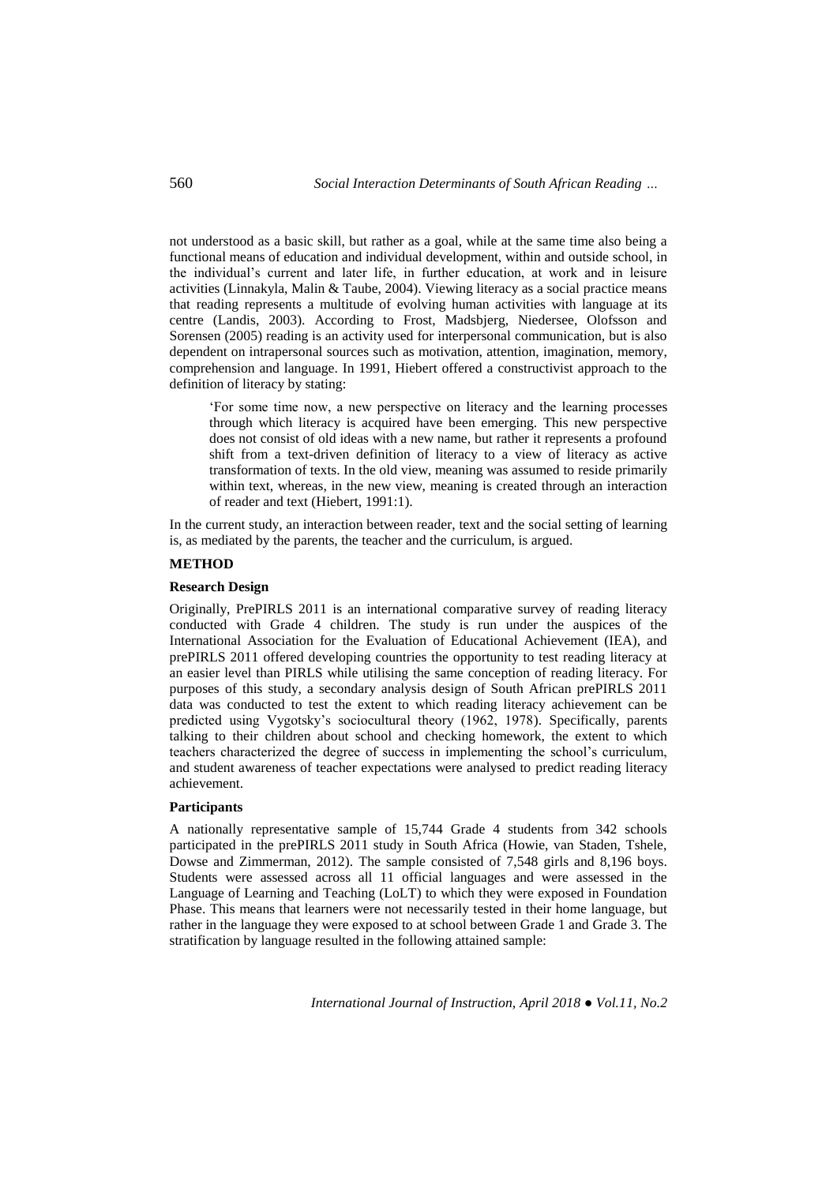not understood as a basic skill, but rather as a goal, while at the same time also being a functional means of education and individual development, within and outside school, in the individual's current and later life, in further education, at work and in leisure activities (Linnakyla, Malin & Taube, 2004). Viewing literacy as a social practice means that reading represents a multitude of evolving human activities with language at its centre (Landis, 2003). According to Frost, Madsbjerg, Niedersee, Olofsson and Sorensen (2005) reading is an activity used for interpersonal communication, but is also dependent on intrapersonal sources such as motivation, attention, imagination, memory, comprehension and language. In 1991, Hiebert offered a constructivist approach to the definition of literacy by stating:

'For some time now, a new perspective on literacy and the learning processes through which literacy is acquired have been emerging. This new perspective does not consist of old ideas with a new name, but rather it represents a profound shift from a text-driven definition of literacy to a view of literacy as active transformation of texts. In the old view, meaning was assumed to reside primarily within text, whereas, in the new view, meaning is created through an interaction of reader and text (Hiebert, 1991:1).

In the current study, an interaction between reader, text and the social setting of learning is, as mediated by the parents, the teacher and the curriculum, is argued.

## **METHOD**

#### **Research Design**

Originally, PrePIRLS 2011 is an international comparative survey of reading literacy conducted with Grade 4 children. The study is run under the auspices of the International Association for the Evaluation of Educational Achievement (IEA), and prePIRLS 2011 offered developing countries the opportunity to test reading literacy at an easier level than PIRLS while utilising the same conception of reading literacy. For purposes of this study, a secondary analysis design of South African prePIRLS 2011 data was conducted to test the extent to which reading literacy achievement can be predicted using Vygotsky's sociocultural theory (1962, 1978). Specifically, parents talking to their children about school and checking homework, the extent to which teachers characterized the degree of success in implementing the school's curriculum, and student awareness of teacher expectations were analysed to predict reading literacy achievement.

#### **Participants**

A nationally representative sample of 15,744 Grade 4 students from 342 schools participated in the prePIRLS 2011 study in South Africa (Howie, van Staden, Tshele, Dowse and Zimmerman, 2012). The sample consisted of 7,548 girls and 8,196 boys. Students were assessed across all 11 official languages and were assessed in the Language of Learning and Teaching (LoLT) to which they were exposed in Foundation Phase. This means that learners were not necessarily tested in their home language, but rather in the language they were exposed to at school between Grade 1 and Grade 3. The stratification by language resulted in the following attained sample: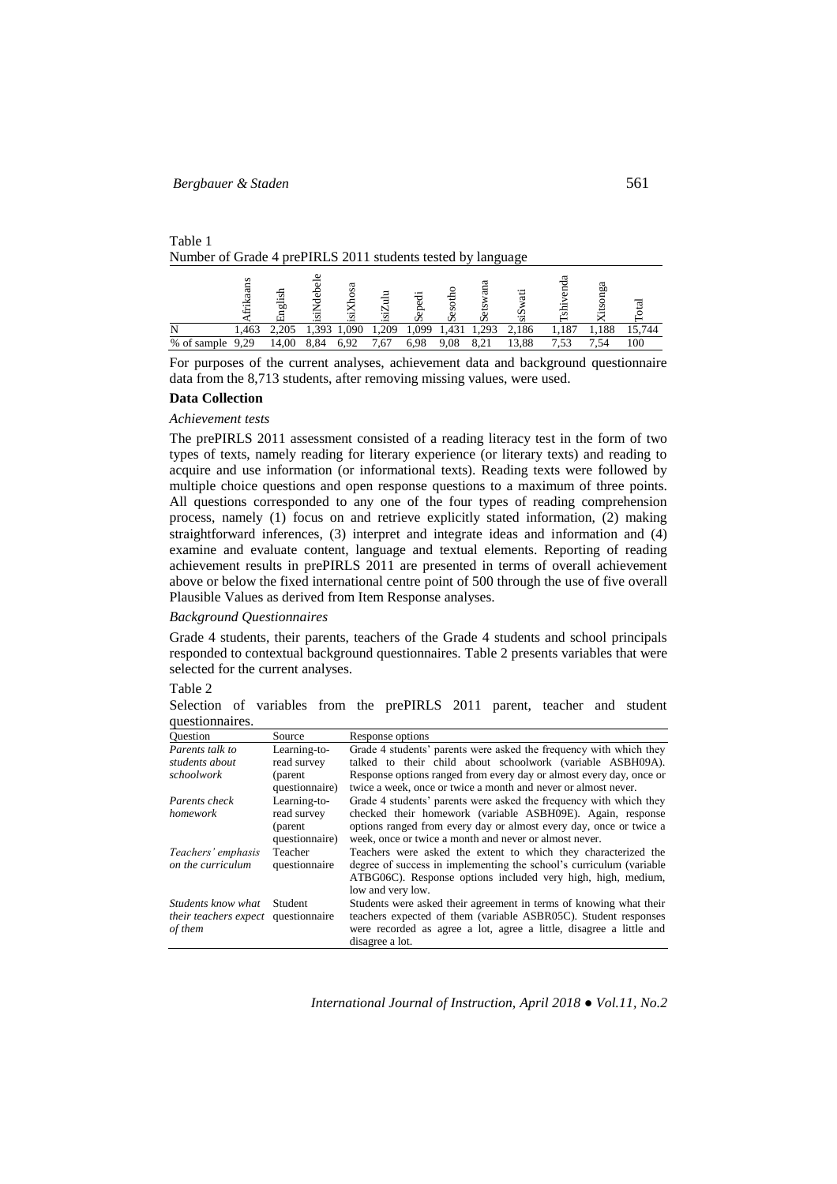# Table 1 Number of Grade 4 prePIRLS 2011 students tested by language

|             |                 | ত<br>高 | ۰.<br>. . |      | Ξ   |     | ÷<br>Ō<br>び   |      |       | অ   | ದ<br>ъï |      |
|-------------|-----------------|--------|-----------|------|-----|-----|---------------|------|-------|-----|---------|------|
| M           | 1,463           | 205    |           | .090 |     | 999 | $.43^{\circ}$ | .293 | 186   | 187 | 188     | .744 |
| % of sample | 29،<br>$\Omega$ | 14.00  | $Q$ /     | 6.92 | .67 |     | 9.08          |      | 13.88 | ت ب | .54     | 100  |

For purposes of the current analyses, achievement data and background questionnaire data from the 8,713 students, after removing missing values, were used.

# **Data Collection**

### *Achievement tests*

The prePIRLS 2011 assessment consisted of a reading literacy test in the form of two types of texts, namely reading for literary experience (or literary texts) and reading to acquire and use information (or informational texts). Reading texts were followed by multiple choice questions and open response questions to a maximum of three points. All questions corresponded to any one of the four types of reading comprehension process, namely (1) focus on and retrieve explicitly stated information, (2) making straightforward inferences, (3) interpret and integrate ideas and information and (4) examine and evaluate content, language and textual elements. Reporting of reading achievement results in prePIRLS 2011 are presented in terms of overall achievement above or below the fixed international centre point of 500 through the use of five overall Plausible Values as derived from Item Response analyses.

#### *Background Questionnaires*

Grade 4 students, their parents, teachers of the Grade 4 students and school principals responded to contextual background questionnaires. Table 2 presents variables that were selected for the current analyses.

#### Table 2

Selection of variables from the prePIRLS 2011 parent, teacher and student questionnaires.

| <b>Ouestion</b>                            | Source         | Response options                                                    |
|--------------------------------------------|----------------|---------------------------------------------------------------------|
| Parents talk to                            | Learning-to-   | Grade 4 students' parents were asked the frequency with which they  |
| students about                             | read survey    | talked to their child about schoolwork (variable ASBH09A).          |
| schoolwork                                 | (parent)       | Response options ranged from every day or almost every day, once or |
|                                            | questionnaire) | twice a week, once or twice a month and never or almost never.      |
| Parents check                              | Learning-to-   | Grade 4 students' parents were asked the frequency with which they  |
| homework                                   | read survey    | checked their homework (variable ASBH09E). Again, response          |
|                                            | (parent)       | options ranged from every day or almost every day, once or twice a  |
|                                            | questionnaire) | week, once or twice a month and never or almost never.              |
| Teachers' emphasis                         | Teacher        | Teachers were asked the extent to which they characterized the      |
| on the curriculum                          | questionnaire  | degree of success in implementing the school's curriculum (variable |
|                                            |                | ATBG06C). Response options included very high, high, medium,        |
|                                            |                | low and very low.                                                   |
| Students know what                         | Student        | Students were asked their agreement in terms of knowing what their  |
| <i>their teachers expect</i> questionnaire |                | teachers expected of them (variable ASBR05C). Student responses     |
| of them                                    |                | were recorded as agree a lot, agree a little, disagree a little and |
|                                            |                | disagree a lot.                                                     |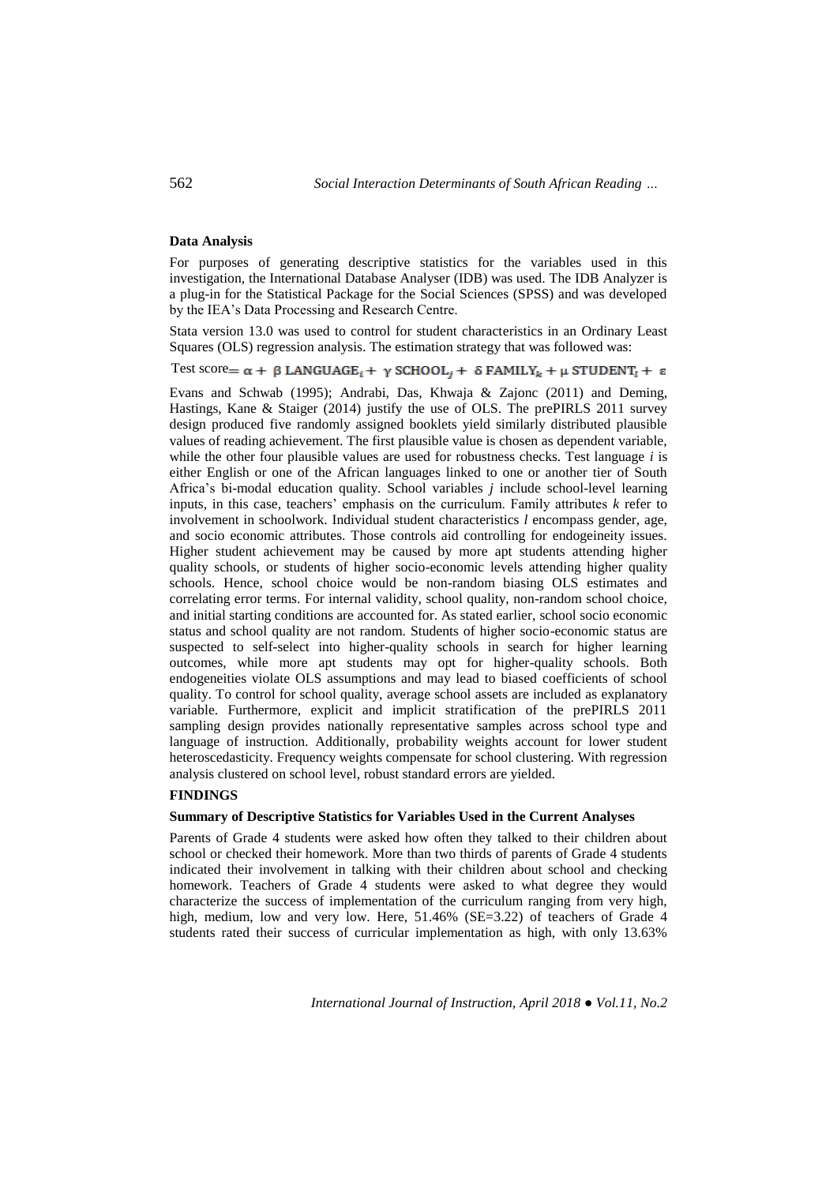#### **Data Analysis**

For purposes of generating descriptive statistics for the variables used in this investigation, the International Database Analyser (IDB) was used. The IDB Analyzer is a plug-in for the Statistical Package for the Social Sciences (SPSS) and was developed by the IEA's Data Processing and Research Centre.

Stata version 13.0 was used to control for student characteristics in an Ordinary Least Squares (OLS) regression analysis. The estimation strategy that was followed was:

Test score=  $\alpha$  +  $\beta$  LANGUAGE<sub>i</sub> +  $\gamma$  SCHOOL<sub>j</sub> +  $\delta$  FAMILY<sub>k</sub> +  $\mu$  STUDENT<sub>i</sub> +  $\epsilon$ 

Evans and Schwab (1995); Andrabi, Das, Khwaja & Zajonc (2011) and Deming, Hastings, Kane & Staiger (2014) justify the use of OLS. The prePIRLS 2011 survey design produced five randomly assigned booklets yield similarly distributed plausible values of reading achievement. The first plausible value is chosen as dependent variable, while the other four plausible values are used for robustness checks. Test language *i* is either English or one of the African languages linked to one or another tier of South Africa's bi-modal education quality. School variables *j* include school-level learning inputs, in this case, teachers' emphasis on the curriculum. Family attributes *k* refer to involvement in schoolwork. Individual student characteristics *l* encompass gender, age, and socio economic attributes. Those controls aid controlling for endogeineity issues. Higher student achievement may be caused by more apt students attending higher quality schools, or students of higher socio-economic levels attending higher quality schools. Hence, school choice would be non-random biasing OLS estimates and correlating error terms. For internal validity, school quality, non-random school choice, and initial starting conditions are accounted for. As stated earlier, school socio economic status and school quality are not random. Students of higher socio-economic status are suspected to self-select into higher-quality schools in search for higher learning outcomes, while more apt students may opt for higher-quality schools. Both endogeneities violate OLS assumptions and may lead to biased coefficients of school quality. To control for school quality, average school assets are included as explanatory variable. Furthermore, explicit and implicit stratification of the prePIRLS 2011 sampling design provides nationally representative samples across school type and language of instruction. Additionally, probability weights account for lower student heteroscedasticity. Frequency weights compensate for school clustering. With regression analysis clustered on school level, robust standard errors are yielded.

# **FINDINGS**

#### **Summary of Descriptive Statistics for Variables Used in the Current Analyses**

Parents of Grade 4 students were asked how often they talked to their children about school or checked their homework. More than two thirds of parents of Grade 4 students indicated their involvement in talking with their children about school and checking homework. Teachers of Grade 4 students were asked to what degree they would characterize the success of implementation of the curriculum ranging from very high, high, medium, low and very low. Here, 51.46% (SE=3.22) of teachers of Grade 4 students rated their success of curricular implementation as high, with only 13.63%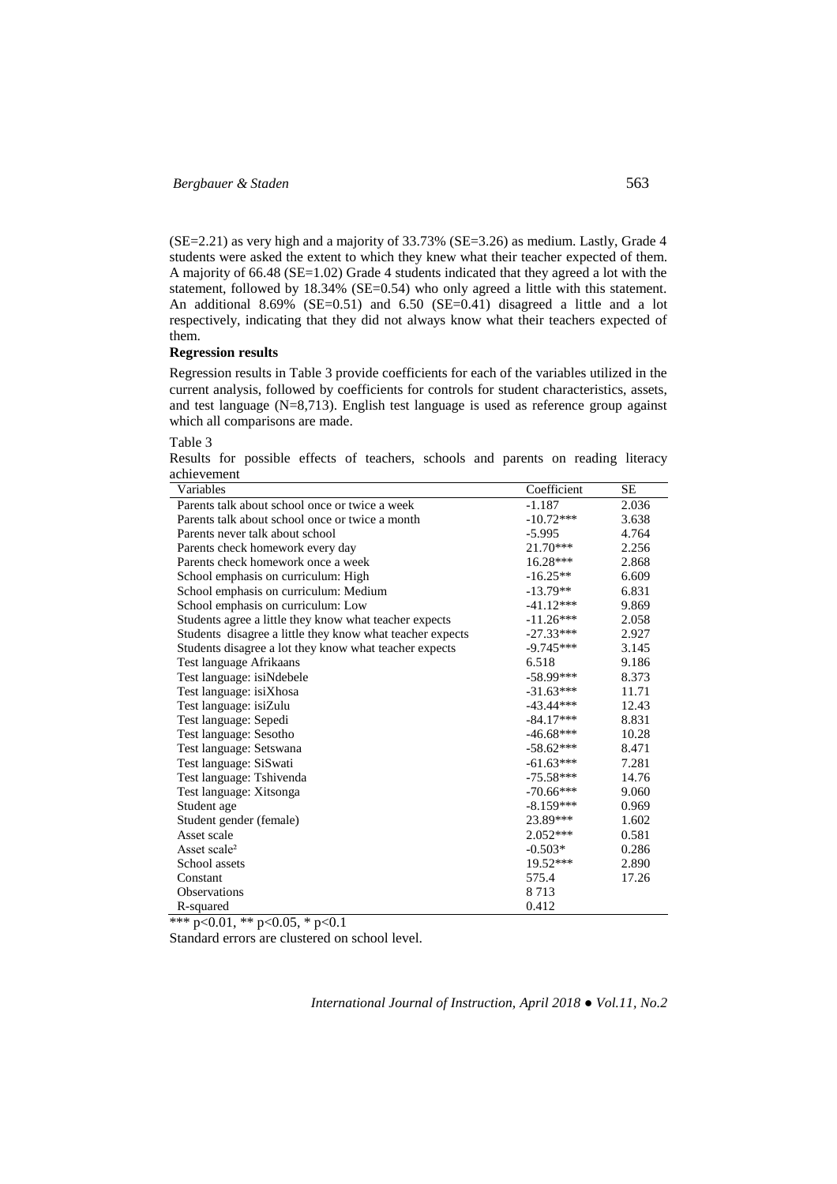(SE=2.21) as very high and a majority of 33.73% (SE=3.26) as medium. Lastly, Grade 4 students were asked the extent to which they knew what their teacher expected of them. A majority of 66.48 (SE=1.02) Grade 4 students indicated that they agreed a lot with the statement, followed by 18.34% (SE=0.54) who only agreed a little with this statement. An additional 8.69% (SE=0.51) and 6.50 (SE=0.41) disagreed a little and a lot respectively, indicating that they did not always know what their teachers expected of them.

# **Regression results**

Regression results in Table 3 provide coefficients for each of the variables utilized in the current analysis, followed by coefficients for controls for student characteristics, assets, and test language (N=8,713). English test language is used as reference group against which all comparisons are made.

Table 3

Results for possible effects of teachers, schools and parents on reading literacy achievement

| Variables                                                 | Coefficient | SЕ    |
|-----------------------------------------------------------|-------------|-------|
| Parents talk about school once or twice a week            | $-1.187$    | 2.036 |
| Parents talk about school once or twice a month           | $-10.72***$ | 3.638 |
| Parents never talk about school                           | $-5.995$    | 4.764 |
| Parents check homework every day                          | 21.70***    | 2.256 |
| Parents check homework once a week                        | $16.28***$  | 2.868 |
| School emphasis on curriculum: High                       | $-16.25**$  | 6.609 |
| School emphasis on curriculum: Medium                     | $-13.79**$  | 6.831 |
| School emphasis on curriculum: Low                        | $-41.12***$ | 9.869 |
| Students agree a little they know what teacher expects    | $-11.26***$ | 2.058 |
| Students disagree a little they know what teacher expects | $-27.33***$ | 2.927 |
| Students disagree a lot they know what teacher expects    | $-9.745***$ | 3.145 |
| Test language Afrikaans                                   | 6.518       | 9.186 |
| Test language: isiNdebele                                 | $-58.99***$ | 8.373 |
| Test language: isiXhosa                                   | $-31.63***$ | 11.71 |
| Test language: isiZulu                                    | $-43.44***$ | 12.43 |
| Test language: Sepedi                                     | $-84.17***$ | 8.831 |
| Test language: Sesotho                                    | $-46.68***$ | 10.28 |
| Test language: Setswana                                   | $-58.62***$ | 8.471 |
| Test language: SiSwati                                    | $-61.63***$ | 7.281 |
| Test language: Tshivenda                                  | $-75.58***$ | 14.76 |
| Test language: Xitsonga                                   | $-70.66***$ | 9.060 |
| Student age                                               | $-8.159***$ | 0.969 |
| Student gender (female)                                   | 23.89***    | 1.602 |
| Asset scale                                               | $2.052***$  | 0.581 |
| Asset scale <sup>2</sup>                                  | $-0.503*$   | 0.286 |
| School assets                                             | 19.52***    | 2.890 |
| Constant                                                  | 575.4       | 17.26 |
| <b>Observations</b>                                       | 8713        |       |
| R-squared                                                 | 0.412       |       |

\*\*\* p<0.01, \*\* p<0.05, \* p<0.1

Standard errors are clustered on school level.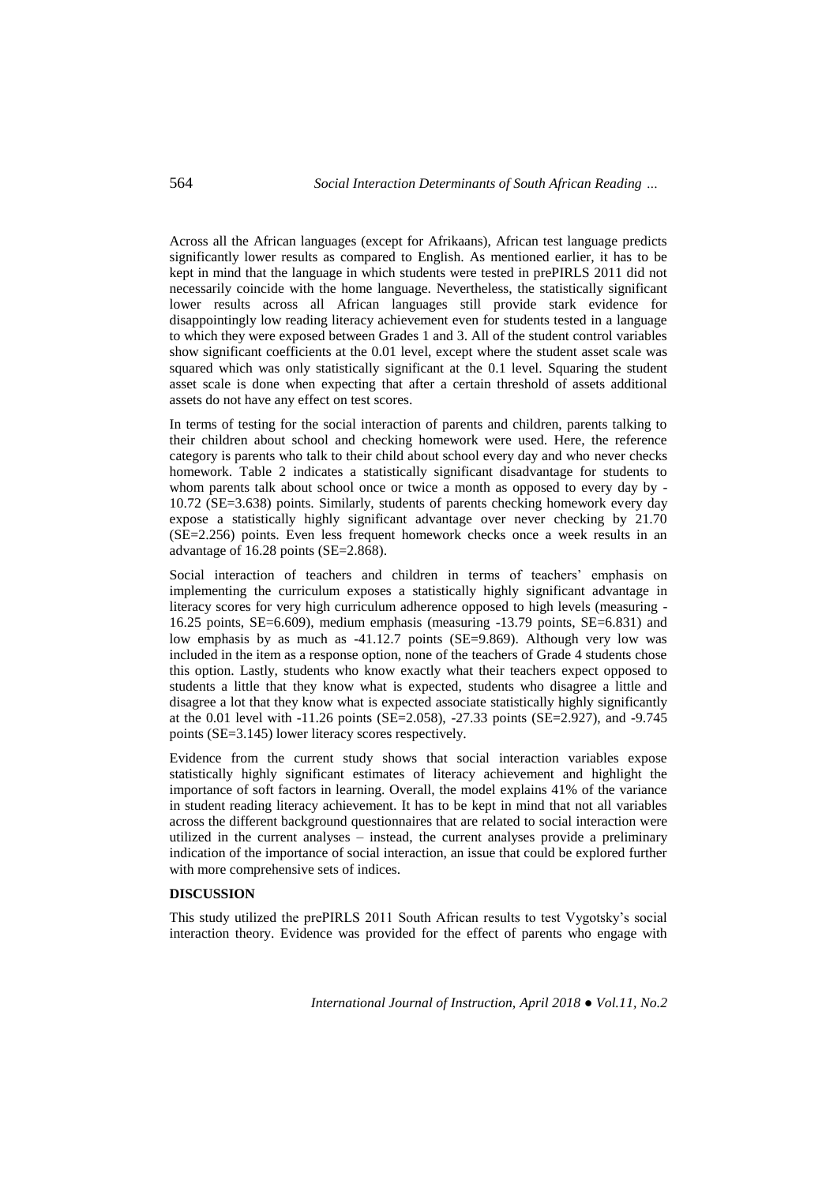Across all the African languages (except for Afrikaans), African test language predicts significantly lower results as compared to English. As mentioned earlier, it has to be kept in mind that the language in which students were tested in prePIRLS 2011 did not necessarily coincide with the home language. Nevertheless, the statistically significant lower results across all African languages still provide stark evidence for disappointingly low reading literacy achievement even for students tested in a language to which they were exposed between Grades 1 and 3. All of the student control variables show significant coefficients at the 0.01 level, except where the student asset scale was squared which was only statistically significant at the 0.1 level. Squaring the student asset scale is done when expecting that after a certain threshold of assets additional assets do not have any effect on test scores.

In terms of testing for the social interaction of parents and children, parents talking to their children about school and checking homework were used. Here, the reference category is parents who talk to their child about school every day and who never checks homework. Table 2 indicates a statistically significant disadvantage for students to whom parents talk about school once or twice a month as opposed to every day by - 10.72 (SE=3.638) points. Similarly, students of parents checking homework every day expose a statistically highly significant advantage over never checking by 21.70 (SE=2.256) points. Even less frequent homework checks once a week results in an advantage of 16.28 points (SE=2.868).

Social interaction of teachers and children in terms of teachers' emphasis on implementing the curriculum exposes a statistically highly significant advantage in literacy scores for very high curriculum adherence opposed to high levels (measuring - 16.25 points, SE=6.609), medium emphasis (measuring -13.79 points, SE=6.831) and low emphasis by as much as -41.12.7 points (SE=9.869). Although very low was included in the item as a response option, none of the teachers of Grade 4 students chose this option. Lastly, students who know exactly what their teachers expect opposed to students a little that they know what is expected, students who disagree a little and disagree a lot that they know what is expected associate statistically highly significantly at the 0.01 level with -11.26 points (SE=2.058), -27.33 points (SE=2.927), and -9.745 points (SE=3.145) lower literacy scores respectively.

Evidence from the current study shows that social interaction variables expose statistically highly significant estimates of literacy achievement and highlight the importance of soft factors in learning. Overall, the model explains 41% of the variance in student reading literacy achievement. It has to be kept in mind that not all variables across the different background questionnaires that are related to social interaction were utilized in the current analyses – instead, the current analyses provide a preliminary indication of the importance of social interaction, an issue that could be explored further with more comprehensive sets of indices.

# **DISCUSSION**

This study utilized the prePIRLS 2011 South African results to test Vygotsky's social interaction theory. Evidence was provided for the effect of parents who engage with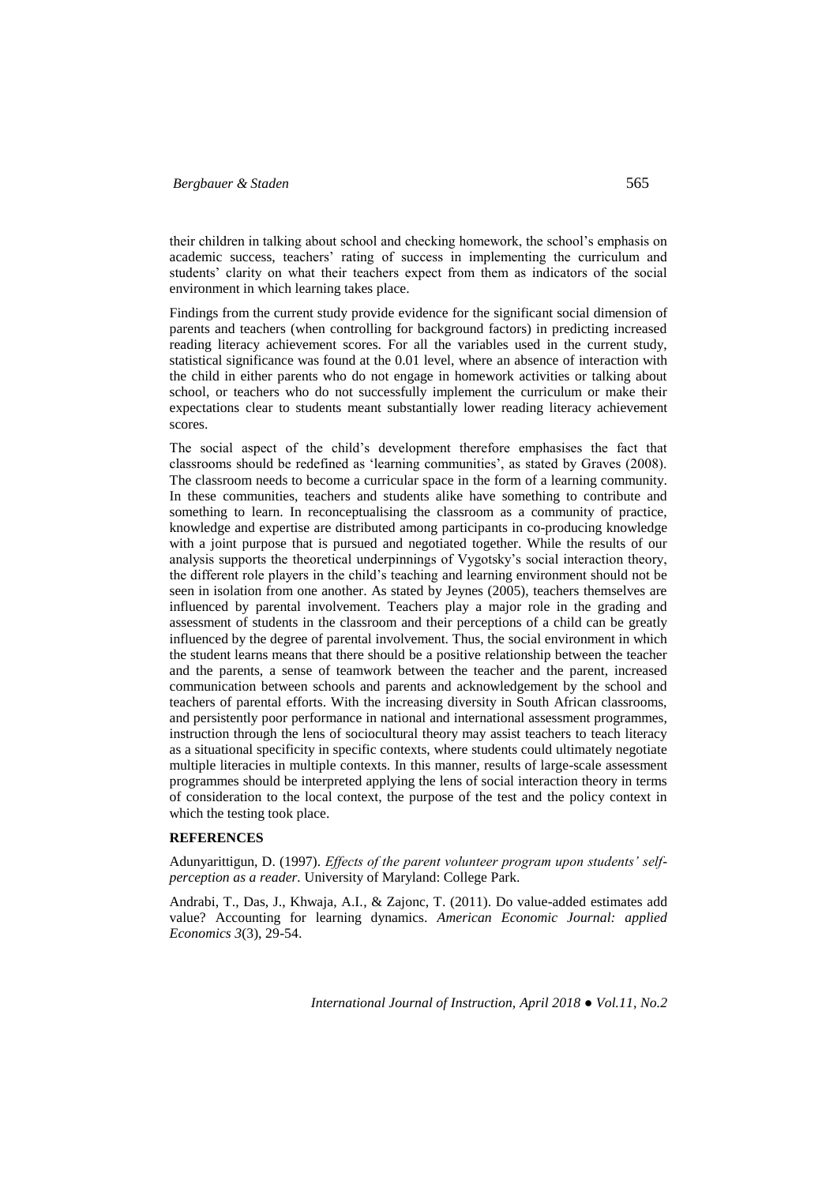their children in talking about school and checking homework, the school's emphasis on academic success, teachers' rating of success in implementing the curriculum and students' clarity on what their teachers expect from them as indicators of the social environment in which learning takes place.

Findings from the current study provide evidence for the significant social dimension of parents and teachers (when controlling for background factors) in predicting increased reading literacy achievement scores. For all the variables used in the current study, statistical significance was found at the 0.01 level, where an absence of interaction with the child in either parents who do not engage in homework activities or talking about school, or teachers who do not successfully implement the curriculum or make their expectations clear to students meant substantially lower reading literacy achievement scores.

The social aspect of the child's development therefore emphasises the fact that classrooms should be redefined as 'learning communities', as stated by Graves (2008). The classroom needs to become a curricular space in the form of a learning community. In these communities, teachers and students alike have something to contribute and something to learn. In reconceptualising the classroom as a community of practice, knowledge and expertise are distributed among participants in co-producing knowledge with a joint purpose that is pursued and negotiated together. While the results of our analysis supports the theoretical underpinnings of Vygotsky's social interaction theory, the different role players in the child's teaching and learning environment should not be seen in isolation from one another. As stated by Jeynes (2005), teachers themselves are influenced by parental involvement. Teachers play a major role in the grading and assessment of students in the classroom and their perceptions of a child can be greatly influenced by the degree of parental involvement. Thus, the social environment in which the student learns means that there should be a positive relationship between the teacher and the parents, a sense of teamwork between the teacher and the parent, increased communication between schools and parents and acknowledgement by the school and teachers of parental efforts. With the increasing diversity in South African classrooms, and persistently poor performance in national and international assessment programmes, instruction through the lens of sociocultural theory may assist teachers to teach literacy as a situational specificity in specific contexts, where students could ultimately negotiate multiple literacies in multiple contexts. In this manner, results of large-scale assessment programmes should be interpreted applying the lens of social interaction theory in terms of consideration to the local context, the purpose of the test and the policy context in which the testing took place.

# **REFERENCES**

Adunyarittigun, D. (1997). *Effects of the parent volunteer program upon students' selfperception as a reader.* University of Maryland: College Park.

Andrabi, T., Das, J., Khwaja, A.I., & Zajonc, T. (2011). Do value-added estimates add value? Accounting for learning dynamics. *American Economic Journal: applied Economics 3*(3), 29-54.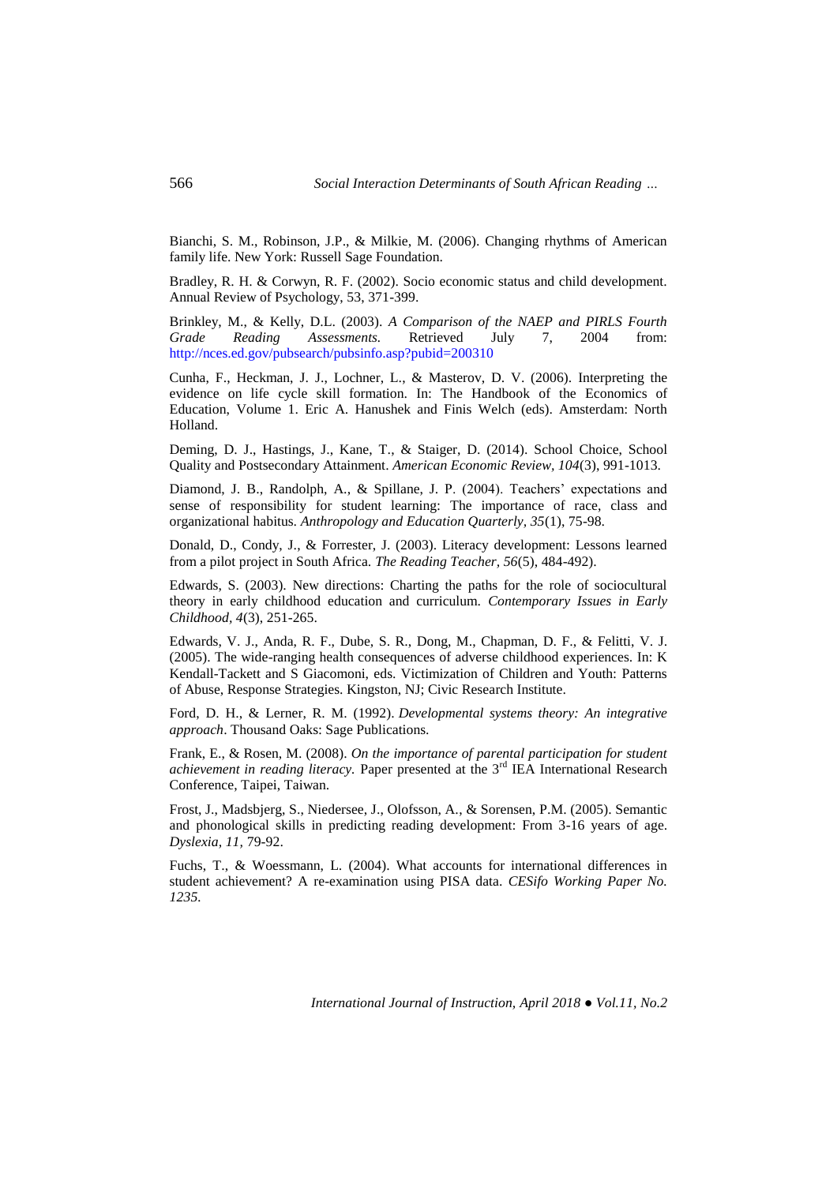Bianchi, S. M., Robinson, J.P., & Milkie, M. (2006). Changing rhythms of American family life. New York: Russell Sage Foundation.

Bradley, R. H. & Corwyn, R. F. (2002). Socio economic status and child development. Annual Review of Psychology, 53, 371-399.

Brinkley, M., & Kelly, D.L. (2003). *A Comparison of the NAEP and PIRLS Fourth Grade Reading Assessments.* Retrieved July 7, 2004 from: <http://nces.ed.gov/pubsearch/pubsinfo.asp?pubid=200310>

Cunha, F., Heckman, J. J., Lochner, L., & Masterov, D. V. (2006). Interpreting the evidence on life cycle skill formation. In: The Handbook of the Economics of Education, Volume 1. Eric A. Hanushek and Finis Welch (eds). Amsterdam: North Holland.

Deming, D. J., Hastings, J., Kane, T., & Staiger, D. (2014). [School Choice, School](http://scholar.harvard.edu/ddeming/publications/school-choice-school-quality-and-postsecondary-attainment)  [Quality and Postsecondary Attainment.](http://scholar.harvard.edu/ddeming/publications/school-choice-school-quality-and-postsecondary-attainment) *American Economic Review, 104*(3), 991-1013.

Diamond, J. B., Randolph, A., & Spillane, J. P. (2004). Teachers' expectations and sense of responsibility for student learning: The importance of race, class and organizational habitus. *Anthropology and Education Quarterly, 35*(1), 75-98.

Donald, D., Condy, J., & Forrester, J. (2003). Literacy development: Lessons learned from a pilot project in South Africa. *The Reading Teacher, 56*(5), 484-492).

Edwards, S. (2003). New directions: Charting the paths for the role of sociocultural theory in early childhood education and curriculum. *Contemporary Issues in Early Childhood, 4*(3), 251-265.

Edwards, V. J., Anda, R. F., Dube, S. R., Dong, M., Chapman, D. F., & Felitti, V. J. (2005). The wide-ranging health consequences of adverse childhood experiences. In: K Kendall-Tackett and S Giacomoni, eds. Victimization of Children and Youth: Patterns of Abuse, Response Strategies. Kingston, NJ; Civic Research Institute.

Ford, D. H., & Lerner, R. M. (1992). *Developmental systems theory: An integrative approach*. Thousand Oaks: Sage Publications.

Frank, E., & Rosen, M. (2008). *On the importance of parental participation for student achievement in reading literacy.* Paper presented at the 3rd IEA International Research Conference, Taipei, Taiwan.

Frost, J., Madsbjerg, S., Niedersee, J., Olofsson, A., & Sorensen, P.M. (2005). Semantic and phonological skills in predicting reading development: From 3-16 years of age. *Dyslexia, 11,* 79-92.

Fuchs, T., & Woessmann, L. (2004). What accounts for international differences in student achievement? A re-examination using PISA data. *CESifo Working Paper No. 1235.*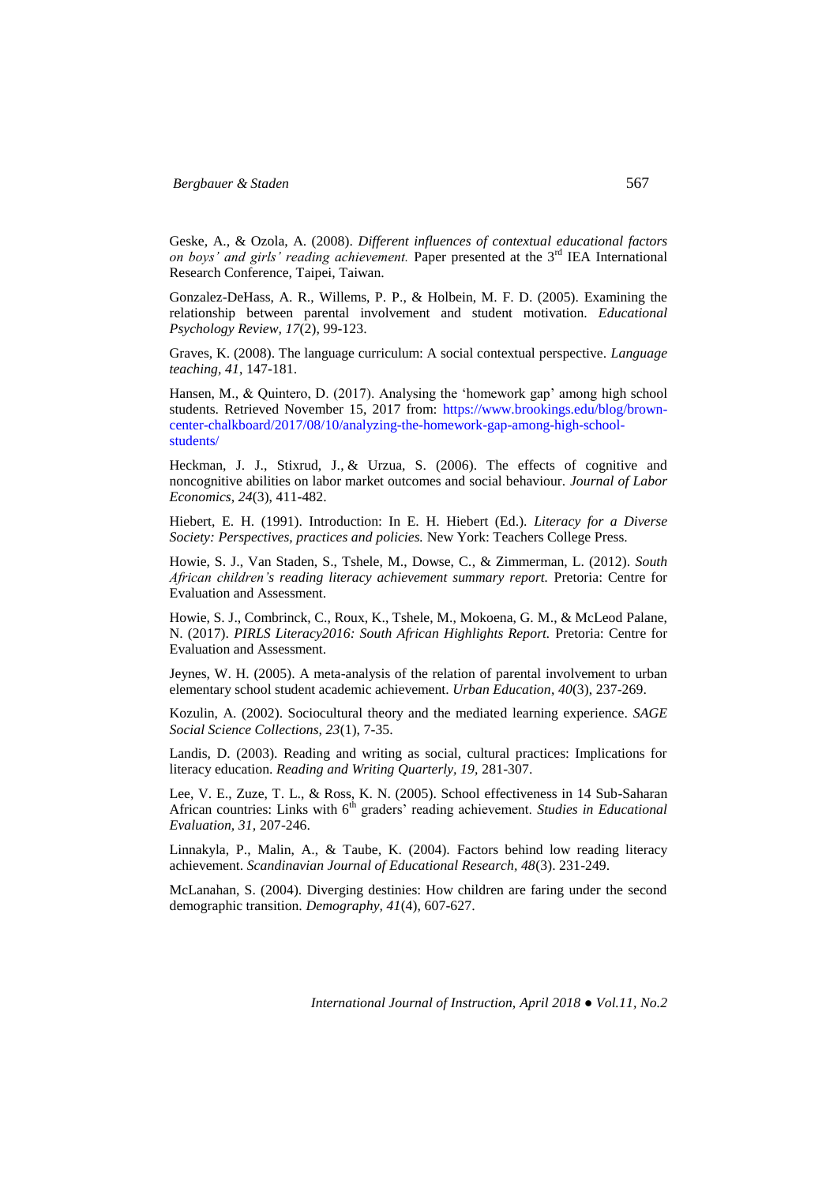Geske, A., & Ozola, A. (2008). *Different influences of contextual educational factors on boys' and girls' reading achievement.* Paper presented at the 3rd IEA International Research Conference, Taipei, Taiwan.

Gonzalez-DeHass, A. R., Willems, P. P., & Holbein, M. F. D. (2005). Examining the relationship between parental involvement and student motivation. *Educational Psychology Review, 17*(2), 99-123.

Graves, K. (2008). The language curriculum: A social contextual perspective. *Language teaching, 41*, 147-181.

Hansen, M., & Quintero, D. (2017). Analysing the 'homework gap' among high school students. Retrieved November 15, 2017 from: [https://www.brookings.edu/blog/brown](https://www.brookings.edu/blog/brown-center-chalkboard/2017/08/10/analyzing-the-homework-gap-among-high-school-students/)[center-chalkboard/2017/08/10/analyzing-the-homework-gap-among-high-school](https://www.brookings.edu/blog/brown-center-chalkboard/2017/08/10/analyzing-the-homework-gap-among-high-school-students/)[students/](https://www.brookings.edu/blog/brown-center-chalkboard/2017/08/10/analyzing-the-homework-gap-among-high-school-students/) 

Heckman, J. J., Stixrud, J., & Urzua, S. (2006). The effects of cognitive and noncognitive abilities on labor market outcomes and social behaviour. *Journal of Labor Economics, 24*(3), 411-482.

Hiebert, E. H. (1991). Introduction: In E. H. Hiebert (Ed.). *Literacy for a Diverse Society: Perspectives, practices and policies.* New York: Teachers College Press.

Howie, S. J., Van Staden, S., Tshele, M., Dowse, C., & Zimmerman, L. (2012). *South African children's reading literacy achievement summary report.* Pretoria: Centre for Evaluation and Assessment.

Howie, S. J., Combrinck, C., Roux, K., Tshele, M., Mokoena, G. M., & McLeod Palane, N. (2017). *PIRLS Literacy2016: South African Highlights Report.* Pretoria: Centre for Evaluation and Assessment.

Jeynes, W. H. (2005). A meta-analysis of the relation of parental involvement to urban elementary school student academic achievement. *Urban Education*, *40*(3), 237-269.

Kozulin, A. (2002). Sociocultural theory and the mediated learning experience. *SAGE Social Science Collections, 23*(1), 7-35.

Landis, D. (2003). Reading and writing as social, cultural practices: Implications for literacy education. *Reading and Writing Quarterly, 19,* 281-307.

Lee, V. E., Zuze, T. L., & Ross, K. N. (2005). School effectiveness in 14 Sub-Saharan African countries: Links with 6<sup>th</sup> graders' reading achievement. *Studies in Educational Evaluation, 31,* 207-246.

Linnakyla, P., Malin, A., & Taube, K. (2004). Factors behind low reading literacy achievement. *Scandinavian Journal of Educational Research, 48*(3). 231-249.

McLanahan, S. (2004). Diverging destinies: How children are faring under the second demographic transition. *Demography, 41*(4), 607-627.